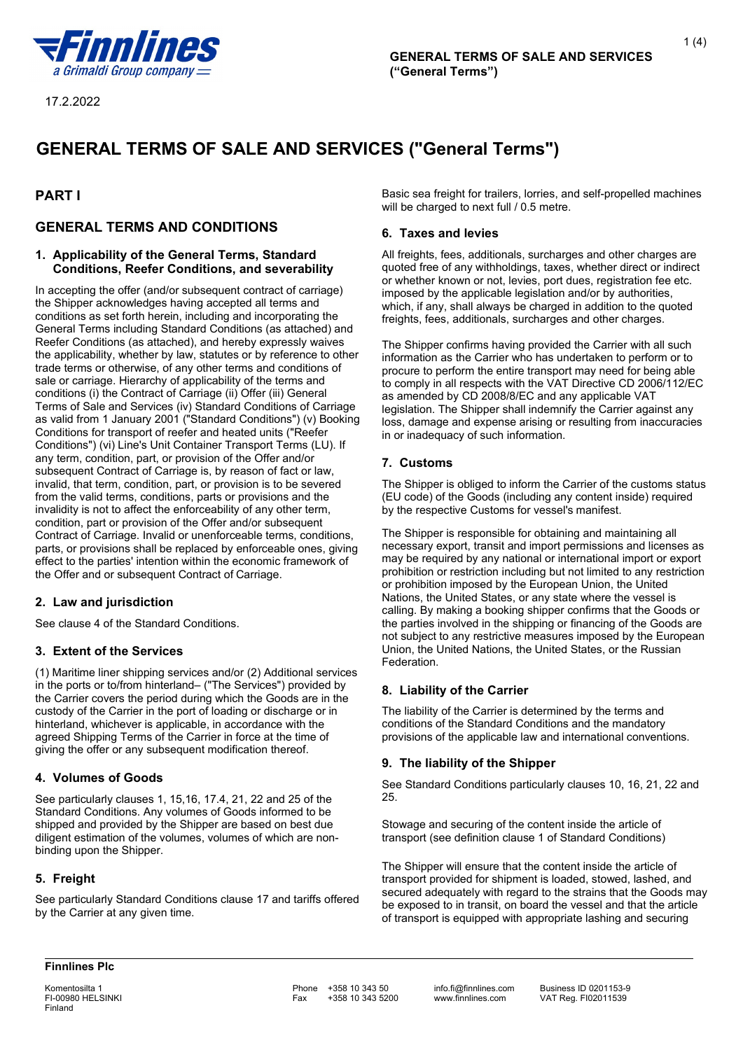

1 $(4)$ 

# **GENERAL TERMS OF SALE AND SERVICES ("General Terms")**

# **PART I**

# **GENERAL TERMS AND CONDITIONS**

#### **1. Applicability of the General Terms, Standard Conditions, Reefer Conditions, and severability**

In accepting the offer (and/or subsequent contract of carriage) the Shipper acknowledges having accepted all terms and conditions as set forth herein, including and incorporating the General Terms including Standard Conditions (as attached) and Reefer Conditions (as attached), and hereby expressly waives the applicability, whether by law, statutes or by reference to other trade terms or otherwise, of any other terms and conditions of sale or carriage. Hierarchy of applicability of the terms and conditions (i) the Contract of Carriage (ii) Offer (iii) General Terms of Sale and Services (iv) Standard Conditions of Carriage as valid from 1 January 2001 ("Standard Conditions") (v) Booking Conditions for transport of reefer and heated units ("Reefer Conditions") (vi) Line's Unit Container Transport Terms (LU). If any term, condition, part, or provision of the Offer and/or subsequent Contract of Carriage is, by reason of fact or law, invalid, that term, condition, part, or provision is to be severed from the valid terms, conditions, parts or provisions and the invalidity is not to affect the enforceability of any other term, condition, part or provision of the Offer and/or subsequent Contract of Carriage. Invalid or unenforceable terms, conditions, parts, or provisions shall be replaced by enforceable ones, giving effect to the parties' intention within the economic framework of the Offer and or subsequent Contract of Carriage.

# **2. Law and jurisdiction**

See clause 4 of the Standard Conditions.

# **3. Extent of the Services**

(1) Maritime liner shipping services and/or (2) Additional services in the ports or to/from hinterland– ("The Services") provided by the Carrier covers the period during which the Goods are in the custody of the Carrier in the port of loading or discharge or in hinterland, whichever is applicable, in accordance with the agreed Shipping Terms of the Carrier in force at the time of giving the offer or any subsequent modification thereof.

# **4. Volumes of Goods**

See particularly clauses 1, 15,16, 17.4, 21, 22 and 25 of the Standard Conditions. Any volumes of Goods informed to be shipped and provided by the Shipper are based on best due diligent estimation of the volumes, volumes of which are nonbinding upon the Shipper.

# **5. Freight**

See particularly Standard Conditions clause 17 and tariffs offered by the Carrier at any given time.

Basic sea freight for trailers, lorries, and self-propelled machines will be charged to next full / 0.5 metre.

#### **6. Taxes and levies**

All freights, fees, additionals, surcharges and other charges are quoted free of any withholdings, taxes, whether direct or indirect or whether known or not, levies, port dues, registration fee etc. imposed by the applicable legislation and/or by authorities, which, if any, shall always be charged in addition to the quoted freights, fees, additionals, surcharges and other charges.

The Shipper confirms having provided the Carrier with all such information as the Carrier who has undertaken to perform or to procure to perform the entire transport may need for being able to comply in all respects with the VAT Directive CD 2006/112/EC as amended by CD 2008/8/EC and any applicable VAT legislation. The Shipper shall indemnify the Carrier against any loss, damage and expense arising or resulting from inaccuracies in or inadequacy of such information.

## **7. Customs**

The Shipper is obliged to inform the Carrier of the customs status (EU code) of the Goods (including any content inside) required by the respective Customs for vessel's manifest.

The Shipper is responsible for obtaining and maintaining all necessary export, transit and import permissions and licenses as may be required by any national or international import or export prohibition or restriction including but not limited to any restriction or prohibition imposed by the European Union, the United Nations, the United States, or any state where the vessel is calling. By making a booking shipper confirms that the Goods or the parties involved in the shipping or financing of the Goods are not subject to any restrictive measures imposed by the European Union, the United Nations, the United States, or the Russian Federation.

#### **8. Liability of the Carrier**

The liability of the Carrier is determined by the terms and conditions of the Standard Conditions and the mandatory provisions of the applicable law and international conventions.

# **9. The liability of the Shipper**

See Standard Conditions particularly clauses 10, 16, 21, 22 and 25.

Stowage and securing of the content inside the article of transport (see definition clause 1 of Standard Conditions)

The Shipper will ensure that the content inside the article of transport provided for shipment is loaded, stowed, lashed, and secured adequately with regard to the strains that the Goods may be exposed to in transit, on board the vessel and that the article of transport is equipped with appropriate lashing and securing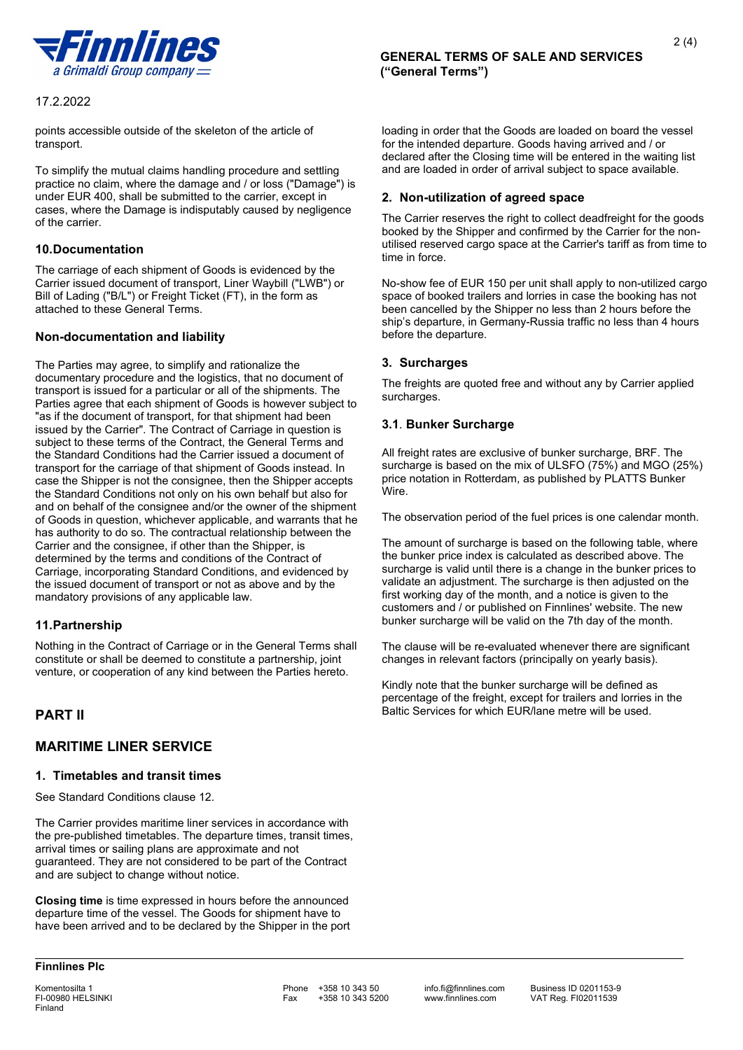

points accessible outside of the skeleton of the article of transport.

To simplify the mutual claims handling procedure and settling practice no claim, where the damage and / or loss ("Damage") is under EUR 400, shall be submitted to the carrier, except in cases, where the Damage is indisputably caused by negligence of the carrier.

## **10.Documentation**

The carriage of each shipment of Goods is evidenced by the Carrier issued document of transport, Liner Waybill ("LWB") or Bill of Lading ("B/L") or Freight Ticket (FT), in the form as attached to these General Terms.

#### **Non-documentation and liability**

The Parties may agree, to simplify and rationalize the documentary procedure and the logistics, that no document of transport is issued for a particular or all of the shipments. The Parties agree that each shipment of Goods is however subject to "as if the document of transport, for that shipment had been issued by the Carrier". The Contract of Carriage in question is subject to these terms of the Contract, the General Terms and the Standard Conditions had the Carrier issued a document of transport for the carriage of that shipment of Goods instead. In case the Shipper is not the consignee, then the Shipper accepts the Standard Conditions not only on his own behalf but also for and on behalf of the consignee and/or the owner of the shipment of Goods in question, whichever applicable, and warrants that he has authority to do so. The contractual relationship between the Carrier and the consignee, if other than the Shipper, is determined by the terms and conditions of the Contract of Carriage, incorporating Standard Conditions, and evidenced by the issued document of transport or not as above and by the mandatory provisions of any applicable law.

# **11.Partnership**

Nothing in the Contract of Carriage or in the General Terms shall constitute or shall be deemed to constitute a partnership, joint venture, or cooperation of any kind between the Parties hereto.

# **PART II**

# **MARITIME LINER SERVICE**

#### **1. Timetables and transit times**

See Standard Conditions clause 12.

The Carrier provides maritime liner services in accordance with the pre-published timetables. The departure times, transit times, arrival times or sailing plans are approximate and not guaranteed. They are not considered to be part of the Contract and are subject to change without notice.

**Closing time** is time expressed in hours before the announced departure time of the vessel. The Goods for shipment have to have been arrived and to be declared by the Shipper in the port loading in order that the Goods are loaded on board the vessel for the intended departure. Goods having arrived and / or declared after the Closing time will be entered in the waiting list and are loaded in order of arrival subject to space available.

2 (4)

#### **2. Non-utilization of agreed space**

The Carrier reserves the right to collect deadfreight for the goods booked by the Shipper and confirmed by the Carrier for the nonutilised reserved cargo space at the Carrier's tariff as from time to time in force.

No-show fee of EUR 150 per unit shall apply to non-utilized cargo space of booked trailers and lorries in case the booking has not been cancelled by the Shipper no less than 2 hours before the ship's departure, in Germany-Russia traffic no less than 4 hours before the departure.

#### **3. Surcharges**

The freights are quoted free and without any by Carrier applied surcharges.

## **3.1**. **Bunker Surcharge**

All freight rates are exclusive of bunker surcharge, BRF. The surcharge is based on the mix of ULSFO (75%) and MGO (25%) price notation in Rotterdam, as published by PLATTS Bunker Wire.

The observation period of the fuel prices is one calendar month.

The amount of surcharge is based on the following table, where the bunker price index is calculated as described above. The surcharge is valid until there is a change in the bunker prices to validate an adjustment. The surcharge is then adjusted on the first working day of the month, and a notice is given to the customers and / or published on Finnlines' website. The new bunker surcharge will be valid on the 7th day of the month.

The clause will be re-evaluated whenever there are significant changes in relevant factors (principally on yearly basis).

Kindly note that the bunker surcharge will be defined as percentage of the freight, except for trailers and lorries in the Baltic Services for which EUR/lane metre will be used.

Komentosilta 1 **Phone +358 10 343 50** info.fi@finnlines.com Business ID 0201153-9<br>Fi-00980 HELSINKI Fax +358 10 343 5200 www.finnlines.com VAT Req. FI02011539 +358 10 343 5200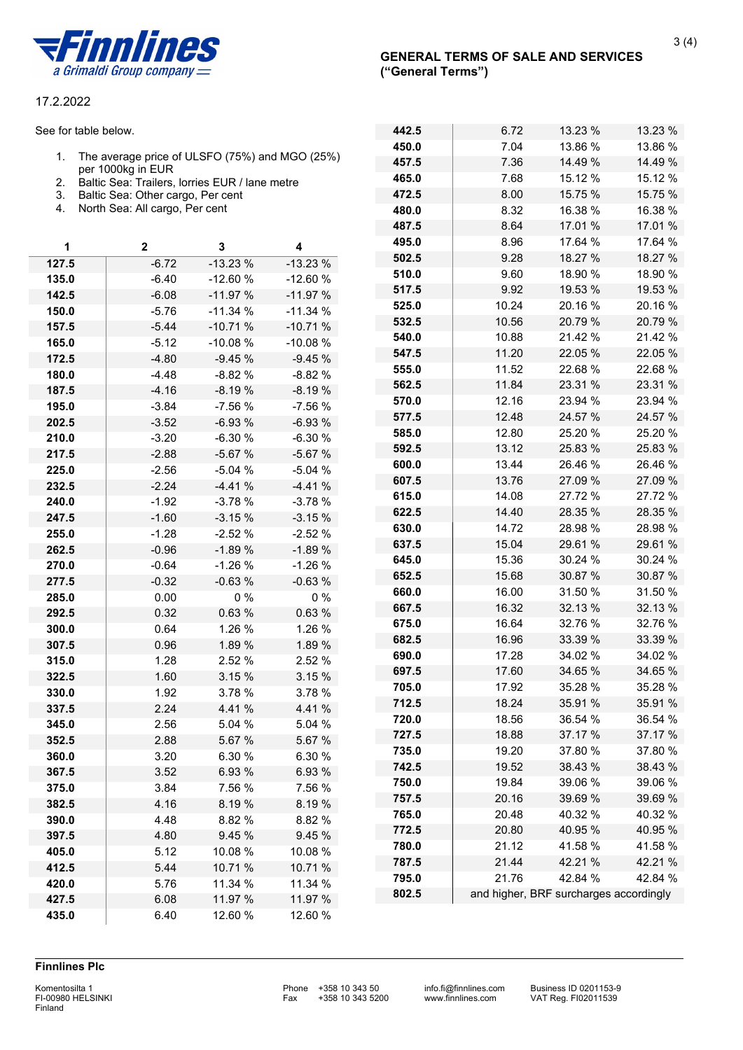

See for table below.

- 1. The average price of ULSFO (75%) and MGO (25%) per 1000kg in EUR
- 2. Baltic Sea: Trailers, lorries EUR / lane metre
- 3. Baltic Sea: Other cargo, Per cent
- 4. North Sea: All cargo, Per cent

| 1     | 2       | 3         | 4         |
|-------|---------|-----------|-----------|
| 127.5 | $-6.72$ | $-13.23%$ | $-13.23%$ |
| 135.0 | $-6.40$ | $-12.60%$ | $-12.60%$ |
| 142.5 | $-6.08$ | $-11.97%$ | $-11.97%$ |
| 150.0 | $-5.76$ | $-11.34%$ | $-11.34%$ |
| 157.5 | $-5.44$ | $-10.71%$ | $-10.71%$ |
| 165.0 | $-5.12$ | $-10.08%$ | $-10.08%$ |
| 172.5 | $-4.80$ | $-9.45%$  | $-9.45%$  |
| 180.0 | $-4.48$ | $-8.82%$  | $-8.82%$  |
| 187.5 | $-4.16$ | $-8.19%$  | $-8.19%$  |
| 195.0 | $-3.84$ | $-7.56%$  | $-7.56%$  |
| 202.5 | $-3.52$ | $-6.93%$  | $-6.93%$  |
| 210.0 | $-3.20$ | $-6.30%$  | $-6.30%$  |
| 217.5 | $-2.88$ | $-5.67%$  | $-5.67%$  |
| 225.0 | $-2.56$ | $-5.04%$  | $-5.04%$  |
| 232.5 | $-2.24$ | $-4.41%$  | $-4.41%$  |
| 240.0 | $-1.92$ | $-3.78%$  | $-3.78%$  |
| 247.5 | $-1.60$ | $-3.15%$  | $-3.15%$  |
| 255.0 | $-1.28$ | $-2.52%$  | $-2.52%$  |
| 262.5 | $-0.96$ | $-1.89%$  | $-1.89%$  |
| 270.0 | $-0.64$ | $-1.26%$  | $-1.26%$  |
| 277.5 | $-0.32$ | $-0.63%$  | $-0.63%$  |
| 285.0 | 0.00    | $0\%$     | $0\%$     |
| 292.5 | 0.32    | 0.63%     | 0.63%     |
| 300.0 | 0.64    | 1.26 %    | 1.26 %    |
| 307.5 | 0.96    | 1.89 %    | 1.89 %    |
| 315.0 | 1.28    | 2.52 %    | 2.52 %    |
| 322.5 | 1.60    | 3.15 %    | 3.15 %    |
| 330.0 | 1.92    | 3.78 %    | 3.78 %    |
| 337.5 | 2.24    | 4.41 %    | 4.41%     |
| 345.0 | 2.56    | 5.04 %    | 5.04 %    |
| 352.5 | 2.88    | 5.67 %    | 5.67 %    |
| 360.0 | 3.20    | 6.30 %    | 6.30 %    |
| 367.5 | 3.52    | 6.93 %    | 6.93 %    |
| 375.0 | 3.84    | 7.56 %    | 7.56 %    |
| 382.5 | 4.16    | 8.19%     | 8.19%     |
| 390.0 | 4.48    | 8.82 %    | 8.82 %    |
| 397.5 | 4.80    | 9.45 %    | 9.45 %    |
| 405.0 | 5.12    | 10.08 %   | 10.08 %   |
| 412.5 | 5.44    | 10.71 %   | 10.71 %   |
| 420.0 | 5.76    | 11.34 %   | 11.34 %   |
| 427.5 | 6.08    | 11.97 %   | 11.97 %   |
| 435.0 | 6.40    | 12.60 %   | 12.60 %   |

| 442.5 | 6.72                                   | 13.23 % | 13.23 % |
|-------|----------------------------------------|---------|---------|
| 450.0 | 7.04                                   | 13.86 % | 13.86 % |
| 457.5 | 7.36                                   | 14.49 % | 14.49 % |
| 465.0 | 7.68                                   | 15.12 % | 15.12 % |
| 472.5 | 8.00                                   | 15.75 % | 15.75 % |
| 480.0 | 8.32                                   | 16.38 % | 16.38 % |
| 487.5 | 8.64                                   | 17.01 % | 17.01 % |
| 495.0 | 8.96                                   | 17.64 % | 17.64 % |
| 502.5 | 9.28                                   | 18.27 % | 18.27 % |
| 510.0 | 9.60                                   | 18.90 % | 18.90 % |
| 517.5 | 9.92                                   | 19.53 % | 19.53 % |
| 525.0 | 10.24                                  | 20.16 % | 20.16 % |
| 532.5 | 10.56                                  | 20.79 % | 20.79%  |
| 540.0 | 10.88                                  | 21.42 % | 21.42 % |
| 547.5 | 11.20                                  | 22.05 % | 22.05 % |
| 555.0 | 11.52                                  | 22.68 % | 22.68%  |
| 562.5 | 11.84                                  | 23.31 % | 23.31 % |
| 570.0 | 12.16                                  | 23.94 % | 23.94 % |
| 577.5 | 12.48                                  | 24.57 % | 24.57 % |
| 585.0 | 12.80                                  | 25.20 % | 25.20 % |
| 592.5 | 13.12                                  | 25.83 % | 25.83 % |
| 600.0 | 13.44                                  | 26.46 % | 26.46 % |
| 607.5 | 13.76                                  | 27.09 % | 27.09 % |
| 615.0 | 14.08                                  | 27.72 % | 27.72 % |
| 622.5 | 14.40                                  | 28.35 % | 28.35 % |
| 630.0 | 14.72                                  | 28.98 % | 28.98 % |
| 637.5 | 15.04                                  | 29.61 % | 29.61 % |
| 645.0 | 15.36                                  | 30.24 % | 30.24 % |
| 652.5 | 15.68                                  | 30.87 % | 30.87 % |
| 660.0 | 16.00                                  | 31.50 % | 31.50 % |
| 667.5 | 16.32                                  | 32.13 % | 32.13 % |
| 675.0 | 16.64                                  | 32.76 % | 32.76 % |
| 682.5 | 16.96                                  | 33.39 % | 33.39 % |
| 690.0 | 17.28                                  | 34.02 % | 34.02 % |
| 697.5 | 17.60                                  | 34.65 % | 34.65 % |
| 705.0 | 17.92                                  | 35.28 % | 35.28 % |
| 712.5 | 18.24                                  | 35.91 % | 35.91 % |
| 720.0 | 18.56                                  | 36.54 % | 36.54 % |
| 727.5 | 18.88                                  | 37.17 % | 37.17 % |
| 735.0 | 19.20                                  | 37.80 % | 37.80 % |
| 742.5 | 19.52                                  | 38.43 % | 38.43 % |
| 750.0 | 19.84                                  | 39.06 % | 39.06 % |
| 757.5 | 20.16                                  | 39.69 % | 39.69 % |
| 765.0 | 20.48                                  | 40.32 % | 40.32 % |
| 772.5 | 20.80                                  | 40.95 % | 40.95 % |
| 780.0 | 21.12                                  | 41.58 % | 41.58 % |
| 787.5 | 21.44                                  | 42.21 % | 42.21 % |
| 795.0 | 21.76                                  | 42.84 % | 42.84 % |
| 802.5 | and higher, BRF surcharges accordingly |         |         |

#### **Finnlines Plc**

**Finland**